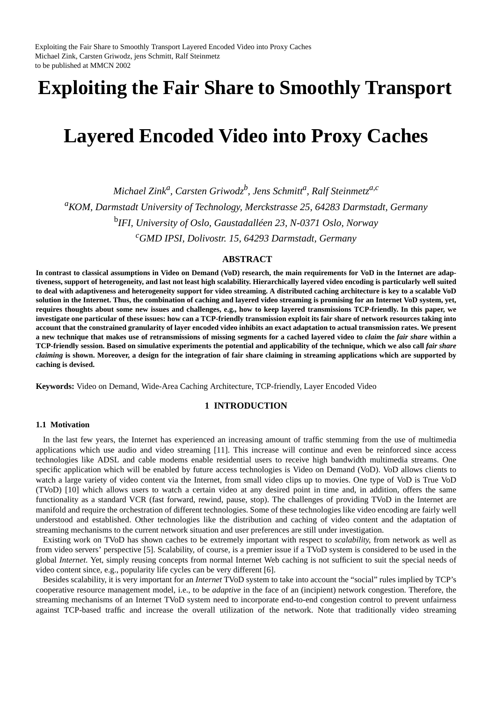# **Exploiting the Fair Share to Smoothly Transport**

# **Layered Encoded Video into Proxy Caches**

 $\emph{Michael Zink}^a, \emph{Carsten Griwodz}^b, \emph{Jens Schmitt}^a, \emph{Ralf Steinmetz}^{a, c}$ *aKOM, Darmstadt University of Technology, Merckstrasse 25, 64283 Darmstadt, Germany* <sup>b</sup>*IFI, University of Oslo, Gaustadalléen 23, N-0371 Oslo, Norway c GMD IPSI, Dolivostr. 15, 64293 Darmstadt, Germany*

# **ABSTRACT**

**In contrast to classical assumptions in Video on Demand (VoD) research, the main requirements for VoD in the Internet are adaptiveness, support of heterogeneity, and last not least high scalability. Hierarchically layered video encoding is particularly well suited to deal with adaptiveness and heterogeneity support for video streaming. A distributed caching architecture is key to a scalable VoD solution in the Internet. Thus, the combination of caching and layered video streaming is promising for an Internet VoD system, yet, requires thoughts about some new issues and challenges, e.g., how to keep layered transmissions TCP-friendly. In this paper, we investigate one particular of these issues: how can a TCP-friendly transmission exploit its fair share of network resources taking into account that the constrained granularity of layer encoded video inhibits an exact adaptation to actual transmission rates. We present a new technique that makes use of retransmissions of missing segments for a cached layered video to** *claim* **the** *fair share* **within a TCP-friendly session. Based on simulative experiments the potential and applicability of the technique, which we also call** *fair share claiming* **is shown. Moreover, a design for the integration of fair share claiming in streaming applications which are supported by caching is devised.**

**Keywords:** Video on Demand, Wide-Area Caching Architecture, TCP-friendly, Layer Encoded Video

## **1 INTRODUCTION**

#### **1.1 Motivation**

In the last few years, the Internet has experienced an increasing amount of traffic stemming from the use of multimedia applications which use audio and video streaming [11]. This increase will continue and even be reinforced since access technologies like ADSL and cable modems enable residential users to receive high bandwidth multimedia streams. One specific application which will be enabled by future access technologies is Video on Demand (VoD). VoD allows clients to watch a large variety of video content via the Internet, from small video clips up to movies. One type of VoD is True VoD (TVoD) [10] which allows users to watch a certain video at any desired point in time and, in addition, offers the same functionality as a standard VCR (fast forward, rewind, pause, stop). The challenges of providing TVoD in the Internet are manifold and require the orchestration of different technologies. Some of these technologies like video encoding are fairly well understood and established. Other technologies like the distribution and caching of video content and the adaptation of streaming mechanisms to the current network situation and user preferences are still under investigation.

Existing work on TVoD has shown caches to be extremely important with respect to *scalability*, from network as well as from video servers' perspective [5]. Scalability, of course, is a premier issue if a TVoD system is considered to be used in the global *Internet*. Yet, simply reusing concepts from normal Internet Web caching is not sufficient to suit the special needs of video content since, e.g., popularity life cycles can be very different [6].

Besides scalability, it is very important for an *Internet* TVoD system to take into account the "social" rules implied by TCP's cooperative resource management model, i.e., to be *adaptive* in the face of an (incipient) network congestion. Therefore, the streaming mechanisms of an Internet TVoD system need to incorporate end-to-end congestion control to prevent unfairness against TCP-based traffic and increase the overall utilization of the network. Note that traditionally video streaming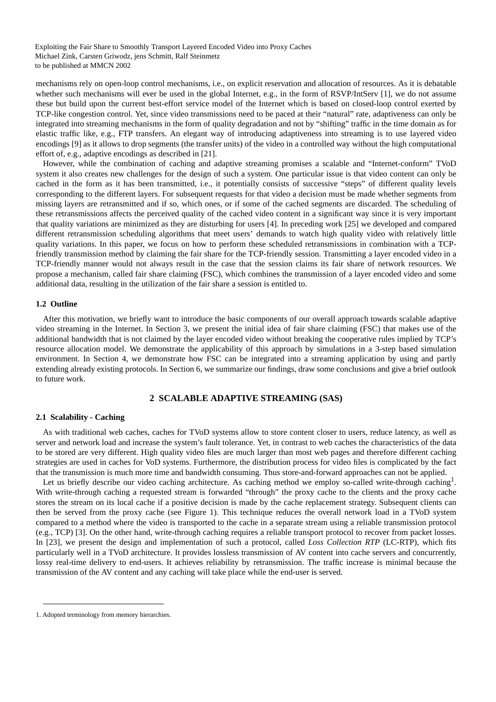mechanisms rely on open-loop control mechanisms, i.e., on explicit reservation and allocation of resources. As it is debatable whether such mechanisms will ever be used in the global Internet, e.g., in the form of RSVP/IntServ [1], we do not assume these but build upon the current best-effort service model of the Internet which is based on closed-loop control exerted by TCP-like congestion control. Yet, since video transmissions need to be paced at their "natural" rate, adaptiveness can only be integrated into streaming mechanisms in the form of quality degradation and not by "shifting" traffic in the time domain as for elastic traffic like, e.g., FTP transfers. An elegant way of introducing adaptiveness into streaming is to use layered video encodings [9] as it allows to drop segments (the transfer units) of the video in a controlled way without the high computational effort of, e.g., adaptive encodings as described in [21].

However, while the combination of caching and adaptive streaming promises a scalable and "Internet-conform" TVoD system it also creates new challenges for the design of such a system. One particular issue is that video content can only be cached in the form as it has been transmitted, i.e., it potentially consists of successive "steps" of different quality levels corresponding to the different layers. For subsequent requests for that video a decision must be made whether segments from missing layers are retransmitted and if so, which ones, or if some of the cached segments are discarded. The scheduling of these retransmissions affects the perceived quality of the cached video content in a significant way since it is very important that quality variations are minimized as they are disturbing for users [4]. In preceding work [25] we developed and compared different retransmission scheduling algorithms that meet users' demands to watch high quality video with relatively little quality variations. In this paper, we focus on how to perform these scheduled retransmissions in combination with a TCPfriendly transmission method by claiming the fair share for the TCP-friendly session. Transmitting a layer encoded video in a TCP-friendly manner would not always result in the case that the session claims its fair share of network resources. We propose a mechanism, called fair share claiming (FSC), which combines the transmission of a layer encoded video and some additional data, resulting in the utilization of the fair share a session is entitled to.

#### **1.2 Outline**

After this motivation, we briefly want to introduce the basic components of our overall approach towards scalable adaptive video streaming in the Internet. In [Section 3,](#page-2-0) we present the initial idea of fair share claiming (FSC) that makes use of the additional bandwidth that is not claimed by the layer encoded video without breaking the cooperative rules implied by TCP's resource allocation model. We demonstrate the applicability of this approach by simulations in a 3-step based simulation environment. In [Section 4,](#page-7-0) we demonstrate how FSC can be integrated into a streaming application by using and partly extending already existing protocols. In [Section 6,](#page-12-0) we summarize our findings, draw some conclusions and give a brief outlook to future work.

## **2 SCALABLE ADAPTIVE STREAMING (SAS)**

#### **2.1 Scalability - Caching**

As with traditional web caches, caches for TVoD systems allow to store content closer to users, reduce latency, as well as server and network load and increase the system's fault tolerance. Yet, in contrast to web caches the characteristics of the data to be stored are very different. High quality video files are much larger than most web pages and therefore different caching strategies are used in caches for VoD systems. Furthermore, the distribution process for video files is complicated by the fact that the transmission is much more time and bandwidth consuming. Thus store-and-forward approaches can not be applied.

Let us briefly describe our video caching architecture. As caching method we employ so-called write-through caching<sup>1</sup>. With write-through caching a requested stream is forwarded "through" the proxy cache to the clients and the proxy cache stores the stream on its local cache if a positive decision is made by the cache replacement strategy. Subsequent clients can then be served from the proxy cache (see [Figure 1](#page-2-0)). This technique reduces the overall network load in a TVoD system compared to a method where the video is transported to the cache in a separate stream using a reliable transmission protocol (e.g., TCP) [3]. On the other hand, write-through caching requires a reliable transport protocol to recover from packet losses. In [23], we present the design and implementation of such a protocol, called *Loss Collection RTP* (LC-RTP), which fits particularly well in a TVoD architecture. It provides lossless transmission of AV content into cache servers and concurrently, lossy real-time delivery to end-users. It achieves reliability by retransmission. The traffic increase is minimal because the transmission of the AV content and any caching will take place while the end-user is served.

<sup>1.</sup> Adopted terminology from memory hierarchies.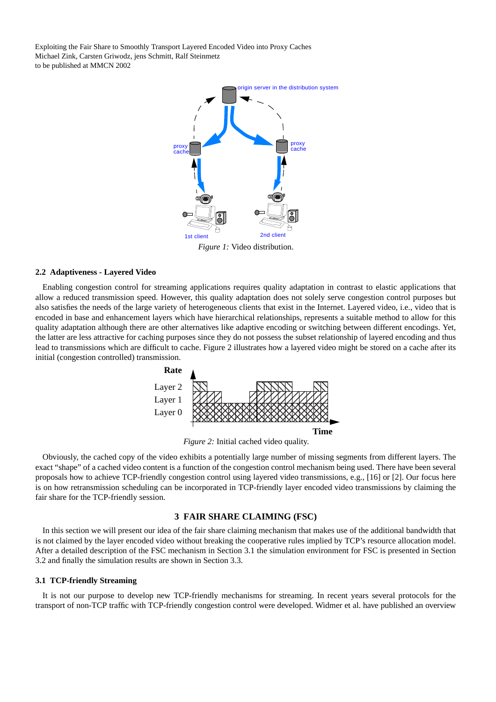<span id="page-2-0"></span>

*Figure 1:* Video distribution.

#### **2.2 Adaptiveness - Layered Video**

Enabling congestion control for streaming applications requires quality adaptation in contrast to elastic applications that allow a reduced transmission speed. However, this quality adaptation does not solely serve congestion control purposes but also satisfies the needs of the large variety of heterogeneous clients that exist in the Internet. Layered video, i.e., video that is encoded in base and enhancement layers which have hierarchical relationships, represents a suitable method to allow for this quality adaptation although there are other alternatives like adaptive encoding or switching between different encodings. Yet, the latter are less attractive for caching purposes since they do not possess the subset relationship of layered encoding and thus lead to transmissions which are difficult to cache. Figure 2 illustrates how a layered video might be stored on a cache after its initial (congestion controlled) transmission.



*Figure 2:* Initial cached video quality.

Obviously, the cached copy of the video exhibits a potentially large number of missing segments from different layers. The exact "shape" of a cached video content is a function of the congestion control mechanism being used. There have been several proposals how to achieve TCP-friendly congestion control using layered video transmissions, e.g., [16] or [2]. Our focus here is on how retransmission scheduling can be incorporated in TCP-friendly layer encoded video transmissions by claiming the fair share for the TCP-friendly session.

# **3 FAIR SHARE CLAIMING (FSC)**

In this section we will present our idea of the fair share claiming mechanism that makes use of the additional bandwidth that is not claimed by the layer encoded video without breaking the cooperative rules implied by TCP's resource allocation model. After a detailed description of the FSC mechanism in Section 3.1 the simulation environment for FSC is presented in [Section](#page-4-0) [3.2](#page-4-0) and finally the simulation results are shown in Sec[tion 3.3.](#page-5-0)

#### **3.1 TCP-friendly Streaming**

It is not our purpose to develop new TCP-friendly mechanisms for streaming. In recent years several protocols for the transport of non-TCP traffic with TCP-friendly congestion control were developed. Widmer et al. have published an overview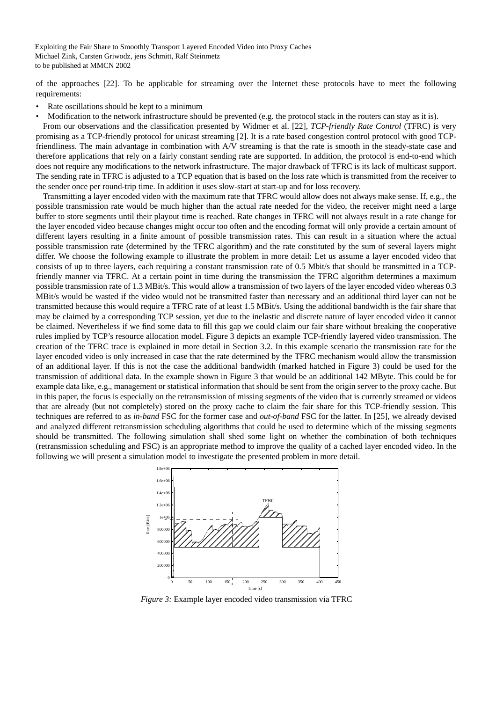<span id="page-3-0"></span>of the approaches [22]. To be applicable for streaming over the Internet these protocols have to meet the following requirements:

• Rate oscillations should be kept to a minimum

• Modification to the network infrastructure should be prevented (e.g. the protocol stack in the routers can stay as it is).

From our observations and the classification presented by Widmer et al. [22], *TCP-friendly Rate Control* (TFRC) is very promising as a TCP-friendly protocol for unicast streaming [2]. It is a rate based congestion control protocol with good TCPfriendliness. The main advantage in combination with A/V streaming is that the rate is smooth in the steady-state case and therefore applications that rely on a fairly constant sending rate are supported. In addition, the protocol is end-to-end which does not require any modifications to the network infrastructure. The major drawback of TFRC is its lack of multicast support. The sending rate in TFRC is adjusted to a TCP equation that is based on the loss rate which is transmitted from the receiver to the sender once per round-trip time. In addition it uses slow-start at start-up and for loss recovery.

Transmitting a layer encoded video with the maximum rate that TFRC would allow does not always make sense. If, e.g., the possible transmission rate would be much higher than the actual rate needed for the video, the receiver might need a large buffer to store segments until their playout time is reached. Rate changes in TFRC will not always result in a rate change for the layer encoded video because changes might occur too often and the encoding format will only provide a certain amount of different layers resulting in a finite amount of possible transmission rates. This can result in a situation where the actual possible transmission rate (determined by the TFRC algorithm) and the rate constituted by the sum of several layers might differ. We choose the following example to illustrate the problem in more detail: Let us assume a layer encoded video that consists of up to three layers, each requiring a constant transmission rate of 0.5 Mbit/s that should be transmitted in a TCPfriendly manner via TFRC. At a certain point in time during the transmission the TFRC algorithm determines a maximum possible transmission rate of 1.3 MBit/s. This would allow a transmission of two layers of the layer encoded video whereas 0.3 MBit/s would be wasted if the video would not be transmitted faster than necessary and an additional third layer can not be transmitted because this would require a TFRC rate of at least 1.5 MBit/s. Using the additional bandwidth is the fair share that may be claimed by a corresponding TCP session, yet due to the inelastic and discrete nature of layer encoded video it cannot be claimed. Nevertheless if we find some data to fill this gap we could claim our fair share without breaking the cooperative rules implied by TCP's resource allocation model. Figure 3 depicts an example TCP-friendly layered video transmission. The creation of the TFRC trace is explained in more detail in [Section 3.2](#page-4-0). In this example scenario the transmission rate for the layer encoded video is only increased in case that the rate determined by the TFRC mechanism would allow the transmission of an additional layer. If this is not the case the additional bandwidth (marked hatched in Figure 3) could be used for the transmission of additional data. In the example shown in Figure 3 that would be an additional 142 MByte. This could be for example data like, e.g., management or statistical information that should be sent from the origin server to the proxy cache. But in this paper, the focus is especially on the retransmission of missing segments of the video that is currently streamed or videos that are already (but not completely) stored on the proxy cache to claim the fair share for this TCP-friendly session. This techniques are referred to as *in-band* FSC for the former case and *out-of-band* FSC for the latter. In [25], we already devised and analyzed different retransmission scheduling algorithms that could be used to determine which of the missing segments should be transmitted. The following simulation shall shed some light on whether the combination of both techniques (retransmission scheduling and FSC) is an appropriate method to improve the quality of a cached layer encoded video. In the following we will present a simulation model to investigate the presented problem in more detail.



*Figure 3:* Example layer encoded video transmission via TFRC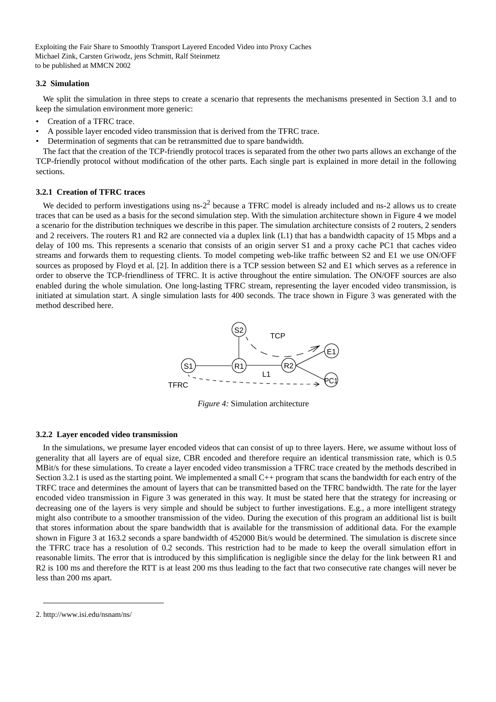# <span id="page-4-0"></span>**3.2 Simulation**

We split the simulation in three steps to create a scenario that represents the mechanisms presented in [Section 3.1](#page-2-0) and to keep the simulation environment more generic:

- Creation of a TFRC trace.
- A possible layer encoded video transmission that is derived from the TFRC trace.
- Determination of segments that can be retransmitted due to spare bandwidth.

The fact that the creation of the TCP-friendly protocol traces is separated from the other two parts allows an exchange of the TCP-friendly protocol without modification of the other parts. Each single part is explained in more detail in the following sections.

## **3.2.1 Creation of TFRC traces**

We decided to perform investigations using ns- $2<sup>2</sup>$  because a TFRC model is already included and ns-2 allows us to create traces that can be used as a basis for the second simulation step. With the simulation architecture shown in Figure 4 we model a scenario for the distribution techniques we describe in this paper. The simulation architecture consists of 2 routers, 2 senders and 2 receivers. The routers R1 and R2 are connected via a duplex link (L1) that has a bandwidth capacity of 15 Mbps and a delay of 100 ms. This represents a scenario that consists of an origin server S1 and a proxy cache PC1 that caches video streams and forwards them to requesting clients. To model competing web-like traffic between S2 and E1 we use ON/OFF sources as proposed by Floyd et al. [2]. In addition there is a TCP session between S2 and E1 which serves as a reference in order to observe the TCP-friendliness of TFRC. It is active throughout the entire simulation. The ON/OFF sources are also enabled during the whole simulation. One long-lasting TFRC stream, representing the layer encoded video transmission, is initiated at simulation start. A single simulation lasts for 400 seconds. The trace shown in [Figure 3](#page-3-0) was generated with the method described here.



*Figure 4:* Simulation architecture

## **3.2.2 Layer encoded video transmission**

In the simulations, we presume layer encoded videos that can consist of up to three layers. Here, we assume without loss of generality that all layers are of equal size, CBR encoded and therefore require an identical transmission rate, which is 0.5 MBit/s for these simulations. To create a layer encoded video transmission a TFRC trace created by the methods described in Section 3.2.1 is used as the starting point. We implemented a small C++ program that scans the bandwidth for each entry of the TRFC trace and determines the amount of layers that can be transmitted based on the TFRC bandwidth. The rate for the layer encoded video transmission in [Figure 3](#page-3-0) was generated in this way. It must be stated here that the strategy for increasing or decreasing one of the layers is very simple and should be subject to further investigations. E.g., a more intelligent strategy might also contribute to a smoother transmission of the video. During the execution of this program an additional list is built that stores information about the spare bandwidth that is available for the transmission of additional data. For the example shown in [Figure 3](#page-3-0) at 163.2 seconds a spare bandwidth of 452000 Bit/s would be determined. The simulation is discrete since the TFRC trace has a resolution of 0.2 seconds. This restriction had to be made to keep the overall simulation effort in reasonable limits. The error that is introduced by this simplification is negligible since the delay for the link between R1 and R2 is 100 ms and therefore the RTT is at least 200 ms thus leading to the fact that two consecutive rate changes will never be less than 200 ms apart.

<sup>2.</sup> http://www.isi.edu/nsnam/ns/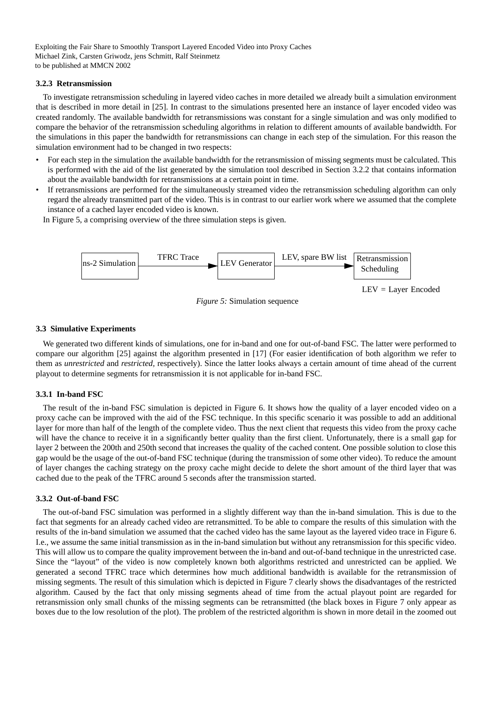## <span id="page-5-0"></span>**3.2.3 Retransmission**

To investigate retransmission scheduling in layered video caches in more detailed we already built a simulation environment that is described in more detail in [25]. In contrast to the simulations presented here an instance of layer encoded video was created randomly. The available bandwidth for retransmissions was constant for a single simulation and was only modified to compare the behavior of the retransmission scheduling algorithms in relation to different amounts of available bandwidth. For the simulations in this paper the bandwidth for retransmissions can change in each step of the simulation. For this reason the simulation environment had to be changed in two respects:

- For each step in the simulation the available bandwidth for the retransmission of missing segments must be calculated. This is performed with the aid of the list generated by the simulation tool described in [Section 3.2.2](#page-4-0) that contains information about the available bandwidth for retransmissions at a certain point in time.
- If retransmissions are performed for the simultaneously streamed video the retransmission scheduling algorithm can only regard the already transmitted part of the video. This is in contrast to our earlier work where we assumed that the complete instance of a cached layer encoded video is known.

In Figure 5, a comprising overview of the three simulation steps is given.





## **3.3 Simulative Experiments**

We generated two different kinds of simulations, one for in-band and one for out-of-band FSC. The latter were performed to compare our algorithm [25] against the algorithm presented in [17] (For easier identification of both algorithm we refer to them as *unrestricted* and *restricted,* respectively). Since the latter looks always a certain amount of time ahead of the current playout to determine segments for retransmission it is not applicable for in-band FSC.

## **3.3.1 In-band FSC**

The result of the in-band FSC simulation is depicted in [Figure 6.](#page-6-0) It shows how the quality of a layer encoded video on a proxy cache can be improved with the aid of the FSC technique. In this specific scenario it was possible to add an additional layer for more than half of the length of the complete video. Thus the next client that requests this video from the proxy cache will have the chance to receive it in a significantly better quality than the first client. Unfortunately, there is a small gap for layer 2 between the 200th and 250th second that increases the quality of the cached content. One possible solution to close this gap would be the usage of the out-of-band FSC technique (during the transmission of some other video). To reduce the amount of layer changes the caching strategy on the proxy cache might decide to delete the short amount of the third layer that was cached due to the peak of the TFRC around 5 seconds after the transmission started.

## **3.3.2 Out-of-band FSC**

The out-of-band FSC simulation was performed in a slightly different way than the in-band simulation. This is due to the fact that segments for an already cached video are retransmitted. To be able to compare the results of this simulation with the results of the in-band simulation we assumed that the cached video has the same layout as the layered video trace in [Figure 6](#page-6-0). I.e., we assume the same initial transmission as in the in-band simulation but without any retransmission for this specific video. This will allow us to compare the quality improvement between the in-band and out-of-band technique in the unrestricted case. Since the "layout" of the video is now completely known both algorithms restricted and unrestricted can be applied. We generated a second TFRC trace which determines how much additional bandwidth is available for the retransmission of missing segments. The result of this simulation which is depicted in [Figure 7](#page-6-0) clearly shows the disadvantages of the restricted algorithm. Caused by the fact that only missing segments ahead of time from the actual playout point are regarded for retransmission only small chunks of the missing segments can be retransmitted (the black boxes in [Figure 7](#page-6-0) only appear as boxes due to the low resolution of the plot). The problem of the restricted algorithm is shown in more detail in the zoomed out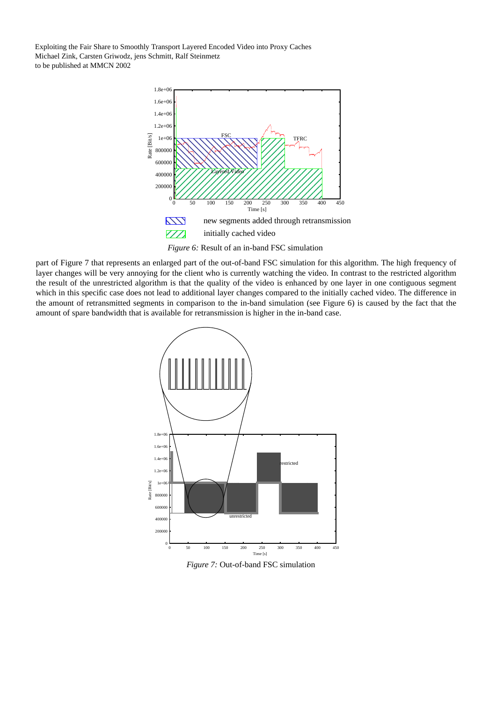<span id="page-6-0"></span>

*Figure 6:* Result of an in-band FSC simulation

part of Figure 7 that represents an enlarged part of the out-of-band FSC simulation for this algorithm. The high frequency of layer changes will be very annoying for the client who is currently watching the video. In contrast to the restricted algorithm the result of the unrestricted algorithm is that the quality of the video is enhanced by one layer in one contiguous segment which in this specific case does not lead to additional layer changes compared to the initially cached video. The difference in the amount of retransmitted segments in comparison to the in-band simulation (see Figure 6) is caused by the fact that the amount of spare bandwidth that is available for retransmission is higher in the in-band case.



*Figure 7:* Out-of-band FSC simulation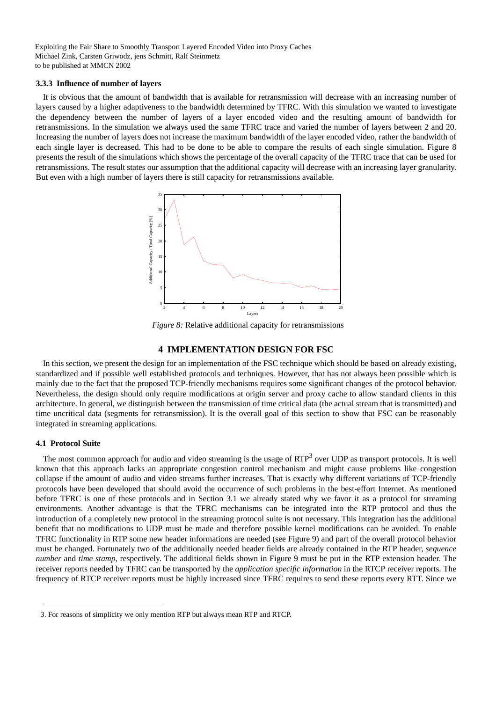## <span id="page-7-0"></span>**3.3.3 Influence of number of layers**

It is obvious that the amount of bandwidth that is available for retransmission will decrease with an increasing number of layers caused by a higher adaptiveness to the bandwidth determined by TFRC. With this simulation we wanted to investigate the dependency between the number of layers of a layer encoded video and the resulting amount of bandwidth for retransmissions. In the simulation we always used the same TFRC trace and varied the number of layers between 2 and 20. Increasing the number of layers does not increase the maximum bandwidth of the layer encoded video, rather the bandwidth of each single layer is decreased. This had to be done to be able to compare the results of each single simulation. Figure 8 presents the result of the simulations which shows the percentage of the overall capacity of the TFRC trace that can be used for retransmissions. The result states our assumption that the additional capacity will decrease with an increasing layer granularity. But even with a high number of layers there is still capacity for retransmissions available.



*Figure 8:* Relative additional capacity for retransmissions

# **4 IMPLEMENTATION DESIGN FOR FSC**

In this section, we present the design for an implementation of the FSC technique which should be based on already existing, standardized and if possible well established protocols and techniques. However, that has not always been possible which is mainly due to the fact that the proposed TCP-friendly mechanisms requires some significant changes of the protocol behavior. Nevertheless, the design should only require modifications at origin server and proxy cache to allow standard clients in this architecture. In general, we distinguish between the transmission of time critical data (the actual stream that is transmitted) and time uncritical data (segments for retransmission). It is the overall goal of this section to show that FSC can be reasonably integrated in streaming applications.

## **4.1 Protocol Suite**

The most common approach for audio and video streaming is the usage of RTP<sup>3</sup> over UDP as transport protocols. It is well known that this approach lacks an appropriate congestion control mechanism and might cause problems like congestion collapse if the amount of audio and video streams further increases. That is exactly why different variations of TCP-friendly protocols have been developed that should avoid the occurrence of such problems in the best-effort Internet. As mentioned before TFRC is one of these protocols and in [Section 3.1](#page-2-0) we already stated why we favor it as a protocol for streaming environments. Another advantage is that the TFRC mechanisms can be integrated into the RTP protocol and thus the introduction of a completely new protocol in the streaming protocol suite is not necessary. This integration has the additional benefit that no modifications to UDP must be made and therefore possible kernel modifications can be avoided. To enable TFRC functionality in RTP some new header informations are needed (see [Figure 9](#page-8-0)) and part of the overall protocol behavior must be changed. Fortunately two of the additionally needed header fields are already contained in the RTP header, *sequence number* and *time stamp,* respectively. The additional fields shown in [Figure 9](#page-8-0) must be put in the RTP extension header. The receiver reports needed by TFRC can be transported by the *application specific information* in the RTCP receiver reports. The frequency of RTCP receiver reports must be highly increased since TFRC requires to send these reports every RTT. Since we

<sup>3.</sup> For reasons of simplicity we only mention RTP but always mean RTP and RTCP.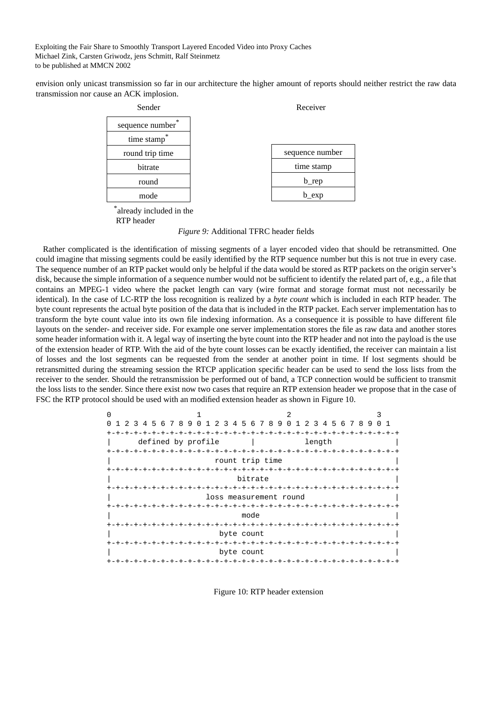<span id="page-8-0"></span>envision only unicast transmission so far in our architecture the higher amount of reports should neither restrict the raw data transmission nor cause an ACK implosion.



already included in the RTP header

## *Figure 9:* Additional TFRC header fields

Rather complicated is the identification of missing segments of a layer encoded video that should be retransmitted. One could imagine that missing segments could be easily identified by the RTP sequence number but this is not true in every case. The sequence number of an RTP packet would only be helpful if the data would be stored as RTP packets on the origin server's disk, because the simple information of a sequence number would not be sufficient to identify the related part of, e.g., a file that contains an MPEG-1 video where the packet length can vary (wire format and storage format must not necessarily be identical). In the case of LC-RTP the loss recognition is realized by a *byte count* which is included in each RTP header. The byte count represents the actual byte position of the data that is included in the RTP packet. Each server implementation has to transform the byte count value into its own file indexing information. As a consequence it is possible to have different file layouts on the sender- and receiver side. For example one server implementation stores the file as raw data and another stores some header information with it. A legal way of inserting the byte count into the RTP header and not into the payload is the use of the extension header of RTP. With the aid of the byte count losses can be exactly identified, the receiver can maintain a list of losses and the lost segments can be requested from the sender at another point in time. If lost segments should be retransmitted during the streaming session the RTCP application specific header can be used to send the loss lists from the receiver to the sender. Should the retransmission be performed out of band, a TCP connection would be sufficient to transmit the loss lists to the sender. Since there exist now two cases that require an RTP extension header we propose that in the case of FSC the RTP protocol should be used with an modified extension header as shown in Figure 10.

| 1 2 3 4 5 6 7 8 9 0 1 2 3 4 5 6 7 8 9 0 1 2 3 4 5 6 7 8 9<br>O 1 |
|------------------------------------------------------------------|
|                                                                  |
| defined by profile<br>length                                     |
|                                                                  |
| rount trip time                                                  |
|                                                                  |
| bitrate                                                          |
|                                                                  |
| loss measurement round                                           |
|                                                                  |
| mode                                                             |
|                                                                  |
| byte count                                                       |
|                                                                  |
| byte count                                                       |
| -+-+-+-+-+-+-+-+-+-+-+                                           |

Figure 10: RTP header extension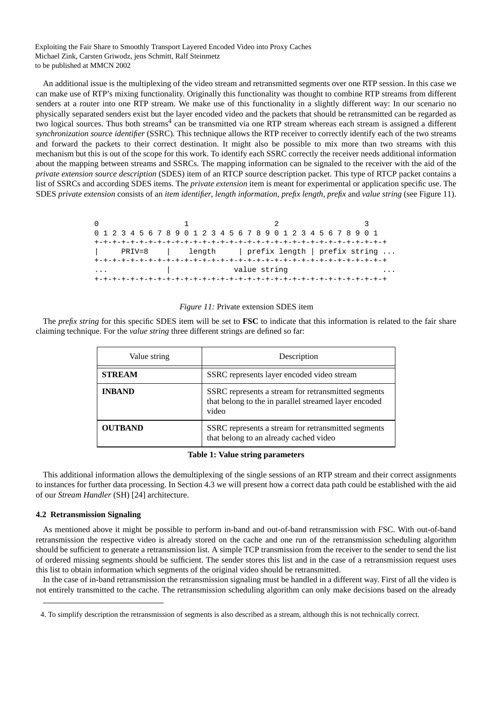An additional issue is the multiplexing of the video stream and retransmitted segments over one RTP session. In this case we can make use of RTP's mixing functionality. Originally this functionality was thought to combine RTP streams from different senders at a router into one RTP stream. We make use of this functionality in a slightly different way: In our scenario no physically separated senders exist but the layer encoded video and the packets that should be retransmitted can be regarded as two logical sources. Thus both streams<sup>4</sup> can be transmitted via one RTP stream whereas each stream is assigned a different *synchronization source identifier* (SSRC). This technique allows the RTP receiver to correctly identify each of the two streams and forward the packets to their correct destination. It might also be possible to mix more than two streams with this mechanism but this is out of the scope for this work. To identify each SSRC correctly the receiver needs additional information about the mapping between streams and SSRCs. The mapping information can be signaled to the receiver with the aid of the *private extension source description* (SDES) item of an RTCP source description packet. This type of RTCP packet contains a list of SSRCs and according SDES items. The *private extension* item is meant for experimental or application specific use. The SDES *private extension* consists of an *item identifier*, *length information*, *prefix length*, *prefix* and *value string* (see Figure 11).

| $\Omega$ |              |  |  |  |  |                                           |  |  |  |  |  |  |  |  |  |  |  |  |                                                                 |  |  |  |  |  |  |  |  |
|----------|--------------|--|--|--|--|-------------------------------------------|--|--|--|--|--|--|--|--|--|--|--|--|-----------------------------------------------------------------|--|--|--|--|--|--|--|--|
|          |              |  |  |  |  |                                           |  |  |  |  |  |  |  |  |  |  |  |  | 0 1 2 3 4 5 6 7 8 9 0 1 2 3 4 5 6 7 8 9 0 1 2 3 4 5 6 7 8 9 0 1 |  |  |  |  |  |  |  |  |
|          |              |  |  |  |  |                                           |  |  |  |  |  |  |  |  |  |  |  |  |                                                                 |  |  |  |  |  |  |  |  |
|          |              |  |  |  |  | PRIV=8 length prefix length prefix string |  |  |  |  |  |  |  |  |  |  |  |  |                                                                 |  |  |  |  |  |  |  |  |
|          |              |  |  |  |  |                                           |  |  |  |  |  |  |  |  |  |  |  |  |                                                                 |  |  |  |  |  |  |  |  |
|          | value string |  |  |  |  |                                           |  |  |  |  |  |  |  |  |  |  |  |  |                                                                 |  |  |  |  |  |  |  |  |
|          |              |  |  |  |  |                                           |  |  |  |  |  |  |  |  |  |  |  |  |                                                                 |  |  |  |  |  |  |  |  |

#### *Figure 11:* Private extension SDES item

The *prefix string* for this specific SDES item will be set to **FSC** to indicate that this information is related to the fair share claiming technique. For the *value string* three different strings are defined so far:

| Value string   | Description                                                                                                           |  |  |  |  |  |  |  |  |
|----------------|-----------------------------------------------------------------------------------------------------------------------|--|--|--|--|--|--|--|--|
| <b>STREAM</b>  | SSRC represents layer encoded video stream                                                                            |  |  |  |  |  |  |  |  |
| <b>INBAND</b>  | SSRC represents a stream for retransmitted segments<br>that belong to the in parallel streamed layer encoded<br>video |  |  |  |  |  |  |  |  |
| <b>OUTBAND</b> | SSRC represents a stream for retransmitted segments<br>that belong to an already cached video                         |  |  |  |  |  |  |  |  |

#### **Table 1: Value string parameters**

This additional information allows the demultiplexing of the single sessions of an RTP stream and their correct assignments to instances for further data processing. In [Section 4.3](#page-10-0) we will present how a correct data path could be established with the aid of our *Stream Handler* (SH) [24] architecture.

#### **4.2 Retransmission Signaling**

As mentioned above it might be possible to perform in-band and out-of-band retransmission with FSC. With out-of-band retransmission the respective video is already stored on the cache and one run of the retransmission scheduling algorithm should be sufficient to generate a retransmission list. A simple TCP transmission from the receiver to the sender to send the list of ordered missing segments should be sufficient. The sender stores this list and in the case of a retransmission request uses this list to obtain information which segments of the original video should be retransmitted.

In the case of in-band retransmission the retransmission signaling must be handled in a different way. First of all the video is not entirely transmitted to the cache. The retransmission scheduling algorithm can only make decisions based on the already

<sup>4.</sup> To simplify description the retransmission of segments is also described as a stream, although this is not technically correct.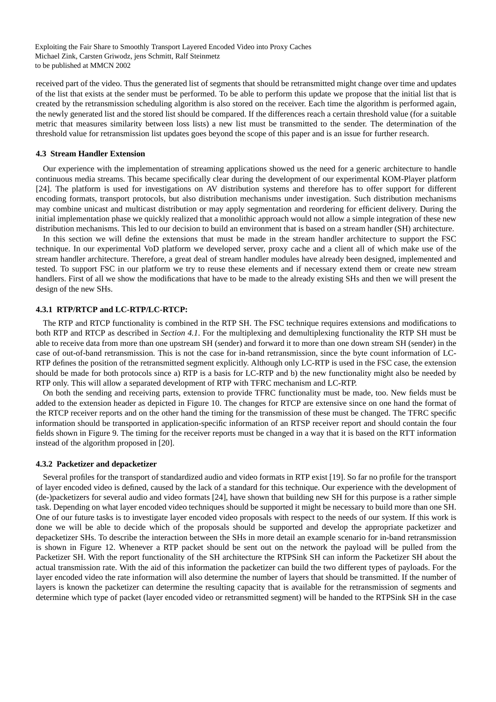<span id="page-10-0"></span>received part of the video. Thus the generated list of segments that should be retransmitted might change over time and updates of the list that exists at the sender must be performed. To be able to perform this update we propose that the initial list that is created by the retransmission scheduling algorithm is also stored on the receiver. Each time the algorithm is performed again, the newly generated list and the stored list should be compared. If the differences reach a certain threshold value (for a suitable metric that measures similarity between loss lists) a new list must be transmitted to the sender. The determination of the threshold value for retransmission list updates goes beyond the scope of this paper and is an issue for further research.

#### **4.3 Stream Handler Extension**

Our experience with the implementation of streaming applications showed us the need for a generic architecture to handle continuous media streams. This became specifically clear during the development of our experimental KOM-Player platform [24]. The platform is used for investigations on AV distribution systems and therefore has to offer support for different encoding formats, transport protocols, but also distribution mechanisms under investigation. Such distribution mechanisms may combine unicast and multicast distribution or may apply segmentation and reordering for efficient delivery. During the initial implementation phase we quickly realized that a monolithic approach would not allow a simple integration of these new distribution mechanisms. This led to our decision to build an environment that is based on a stream handler (SH) architecture.

In this section we will define the extensions that must be made in the stream handler architecture to support the FSC technique. In our experimental VoD platform we developed server, proxy cache and a client all of which make use of the stream handler architecture. Therefore, a great deal of stream handler modules have already been designed, implemented and tested. To support FSC in our platform we try to reuse these elements and if necessary extend them or create new stream handlers. First of all we show the modifications that have to be made to the already existing SHs and then we will present the design of the new SHs.

## **4.3.1 RTP/RTCP and LC-RTP/LC-RTCP:**

The RTP and RTCP functionality is combined in the RTP SH. The FSC technique requires extensions and modifications to both RTP and RTCP as described in *[Section 4.1](#page-7-0)*. For the multiplexing and demultiplexing functionality the RTP SH must be able to receive data from more than one upstream SH (sender) and forward it to more than one down stream SH (sender) in the case of out-of-band retransmission. This is not the case for in-band retransmission, since the byte count information of LC-RTP defines the position of the retransmitted segment explicitly. Although only LC-RTP is used in the FSC case, the extension should be made for both protocols since a) RTP is a basis for LC-RTP and b) the new functionality might also be needed by RTP only. This will allow a separated development of RTP with TFRC mechanism and LC-RTP.

On both the sending and receiving parts, extension to provide TFRC functionality must be made, too. New fields must be added to the extension header as depicted in [Figure 10](#page-8-0). The changes for RTCP are extensive since on one hand the format of the RTCP receiver reports and on the other hand the timing for the transmission of these must be changed. The TFRC specific information should be transported in application-specific information of an RTSP receiver report and should contain the four fields shown in [Figure 9.](#page-8-0) The timing for the receiver reports must be changed in a way that it is based on the RTT information instead of the algorithm proposed in [20].

#### **4.3.2 Packetizer and depacketizer**

Several profiles for the transport of standardized audio and video formats in RTP exist [19]. So far no profile for the transport of layer encoded video is defined, caused by the lack of a standard for this technique. Our experience with the development of (de-)packetizers for several audio and video formats [24], have shown that building new SH for this purpose is a rather simple task. Depending on what layer encoded video techniques should be supported it might be necessary to build more than one SH. One of our future tasks is to investigate layer encoded video proposals with respect to the needs of our system. If this work is done we will be able to decide which of the proposals should be supported and develop the appropriate packetizer and depacketizer SHs. To describe the interaction between the SHs in more detail an example scenario for in-band retransmission is shown in [Figure 12](#page-11-0). Whenever a RTP packet should be sent out on the network the payload will be pulled from the Packetizer SH. With the report functionality of the SH architecture the RTPSink SH can inform the Packetizer SH about the actual transmission rate. With the aid of this information the packetizer can build the two different types of payloads. For the layer encoded video the rate information will also determine the number of layers that should be transmitted. If the number of layers is known the packetizer can determine the resulting capacity that is available for the retransmission of segments and determine which type of packet (layer encoded video or retransmitted segment) will be handed to the RTPSink SH in the case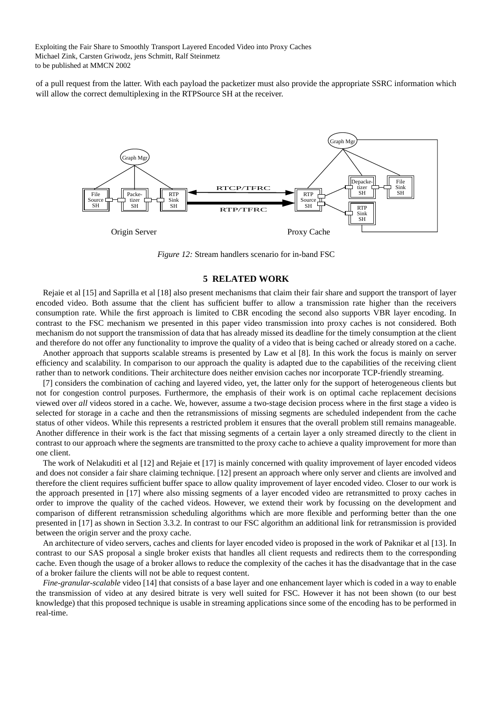<span id="page-11-0"></span>of a pull request from the latter. With each payload the packetizer must also provide the appropriate SSRC information which will allow the correct demultiplexing in the RTPSource SH at the receiver.



*Figure 12:* Stream handlers scenario for in-band FSC

## **5 RELATED WORK**

Rejaie et al [15] and Saprilla et al [18] also present mechanisms that claim their fair share and support the transport of layer encoded video. Both assume that the client has sufficient buffer to allow a transmission rate higher than the receivers consumption rate. While the first approach is limited to CBR encoding the second also supports VBR layer encoding. In contrast to the FSC mechanism we presented in this paper video transmission into proxy caches is not considered. Both mechanism do not support the transmission of data that has already missed its deadline for the timely consumption at the client and therefore do not offer any functionality to improve the quality of a video that is being cached or already stored on a cache.

Another approach that supports scalable streams is presented by Law et al [8]. In this work the focus is mainly on server efficiency and scalability. In comparison to our approach the quality is adapted due to the capabilities of the receiving client rather than to network conditions. Their architecture does neither envision caches nor incorporate TCP-friendly streaming.

[7] considers the combination of caching and layered video, yet, the latter only for the support of heterogeneous clients but not for congestion control purposes. Furthermore, the emphasis of their work is on optimal cache replacement decisions viewed over *all* videos stored in a cache. We, however, assume a two-stage decision process where in the first stage a video is selected for storage in a cache and then the retransmissions of missing segments are scheduled independent from the cache status of other videos. While this represents a restricted problem it ensures that the overall problem still remains manageable. Another difference in their work is the fact that missing segments of a certain layer a only streamed directly to the client in contrast to our approach where the segments are transmitted to the proxy cache to achieve a quality improvement for more than one client.

The work of Nelakuditi et al [12] and Rejaie et [17] is mainly concerned with quality improvement of layer encoded videos and does not consider a fair share claiming technique. [12] present an approach where only server and clients are involved and therefore the client requires sufficient buffer space to allow quality improvement of layer encoded video. Closer to our work is the approach presented in [17] where also missing segments of a layer encoded video are retransmitted to proxy caches in order to improve the quality of the cached videos. However, we extend their work by focussing on the development and comparison of different retransmission scheduling algorithms which are more flexible and performing better than the one presented in [17] as shown in [Section 3.3.2](#page-5-0). In contrast to our FSC algorithm an additional link for retransmission is provided between the origin server and the proxy cache.

An architecture of video servers, caches and clients for layer encoded video is proposed in the work of Paknikar et al [13]. In contrast to our SAS proposal a single broker exists that handles all client requests and redirects them to the corresponding cache. Even though the usage of a broker allows to reduce the complexity of the caches it has the disadvantage that in the case of a broker failure the clients will not be able to request content.

*Fine-granular-scalable* video [14] that consists of a base layer and one enhancement layer which is coded in a way to enable the transmission of video at any desired bitrate is very well suited for FSC. However it has not been shown (to our best knowledge) that this proposed technique is usable in streaming applications since some of the encoding has to be performed in real-time.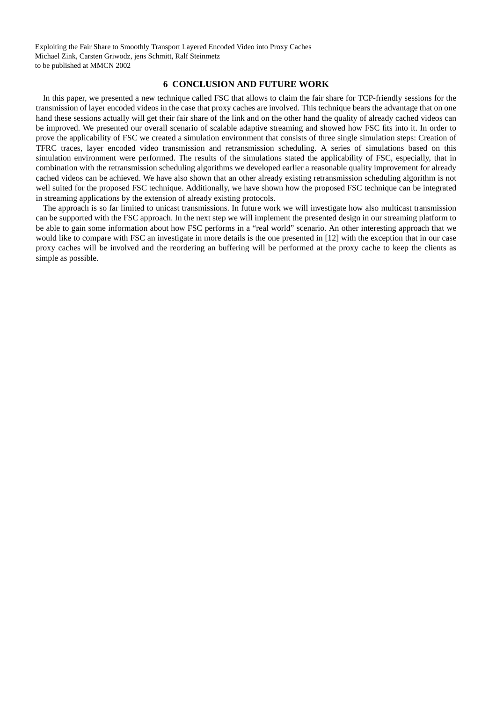## **6 CONCLUSION AND FUTURE WORK**

<span id="page-12-0"></span>In this paper, we presented a new technique called FSC that allows to claim the fair share for TCP-friendly sessions for the transmission of layer encoded videos in the case that proxy caches are involved. This technique bears the advantage that on one hand these sessions actually will get their fair share of the link and on the other hand the quality of already cached videos can be improved. We presented our overall scenario of scalable adaptive streaming and showed how FSC fits into it. In order to prove the applicability of FSC we created a simulation environment that consists of three single simulation steps: Creation of TFRC traces, layer encoded video transmission and retransmission scheduling. A series of simulations based on this simulation environment were performed. The results of the simulations stated the applicability of FSC, especially, that in combination with the retransmission scheduling algorithms we developed earlier a reasonable quality improvement for already cached videos can be achieved. We have also shown that an other already existing retransmission scheduling algorithm is not well suited for the proposed FSC technique. Additionally, we have shown how the proposed FSC technique can be integrated in streaming applications by the extension of already existing protocols.

The approach is so far limited to unicast transmissions. In future work we will investigate how also multicast transmission can be supported with the FSC approach. In the next step we will implement the presented design in our streaming platform to be able to gain some information about how FSC performs in a "real world" scenario. An other interesting approach that we would like to compare with FSC an investigate in more details is the one presented in [12] with the exception that in our case proxy caches will be involved and the reordering an buffering will be performed at the proxy cache to keep the clients as simple as possible.